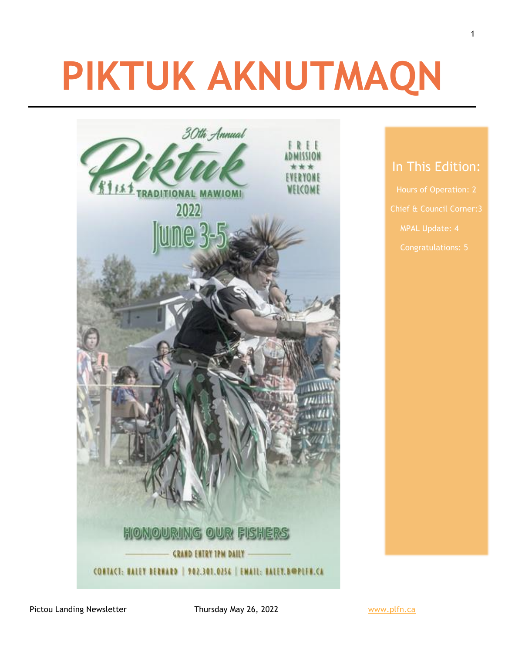# **PIKTUK AKNUTMAQN**



#### In This Edition:

MPAL Update: 4

Pictou Landing Newsletter Thursday May 26, 2022 Www.plfn.ca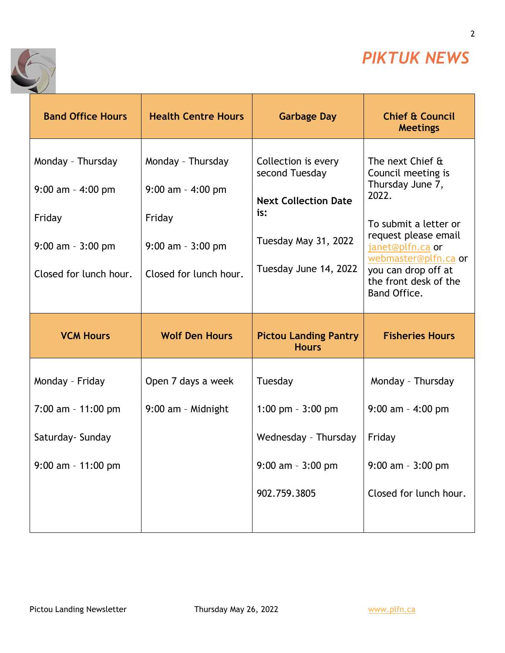

2

÷



| <b>Band Office Hours</b>                                                                              | <b>Health Centre Hours</b>                                                                            | <b>Garbage Day</b>                                                                                                           | <b>Chief &amp; Council</b><br><b>Meetings</b>                                                                                                                                                                                    |
|-------------------------------------------------------------------------------------------------------|-------------------------------------------------------------------------------------------------------|------------------------------------------------------------------------------------------------------------------------------|----------------------------------------------------------------------------------------------------------------------------------------------------------------------------------------------------------------------------------|
| Monday - Thursday<br>$9:00$ am - 4:00 pm<br>Friday<br>$9:00$ am - $3:00$ pm<br>Closed for lunch hour. | Monday - Thursday<br>$9:00$ am - 4:00 pm<br>Friday<br>$9:00$ am - $3:00$ pm<br>Closed for lunch hour. | Collection is every<br>second Tuesday<br><b>Next Collection Date</b><br>is:<br>Tuesday May 31, 2022<br>Tuesday June 14, 2022 | The next Chief &<br>Council meeting is<br>Thursday June 7,<br>2022.<br>To submit a letter or<br>request please email<br>janet@plfn.ca or<br>webmaster@plfn.ca or<br>you can drop off at<br>the front desk of the<br>Band Office. |
|                                                                                                       |                                                                                                       |                                                                                                                              |                                                                                                                                                                                                                                  |
| <b>VCM Hours</b>                                                                                      | <b>Wolf Den Hours</b>                                                                                 | <b>Pictou Landing Pantry</b><br><b>Hours</b>                                                                                 | <b>Fisheries Hours</b>                                                                                                                                                                                                           |
| Monday - Friday<br>$7:00$ am - 11:00 pm<br>Saturday- Sunday<br>$9:00$ am - 11:00 pm                   | Open 7 days a week<br>9:00 am - Midnight                                                              | Tuesday<br>1:00 pm $-3:00$ pm<br>Wednesday - Thursday<br>$9:00$ am - $3:00$ pm<br>902.759.3805                               | Monday - Thursday<br>$9:00$ am - 4:00 pm<br>Friday<br>$9:00$ am - $3:00$ pm<br>Closed for lunch hour.                                                                                                                            |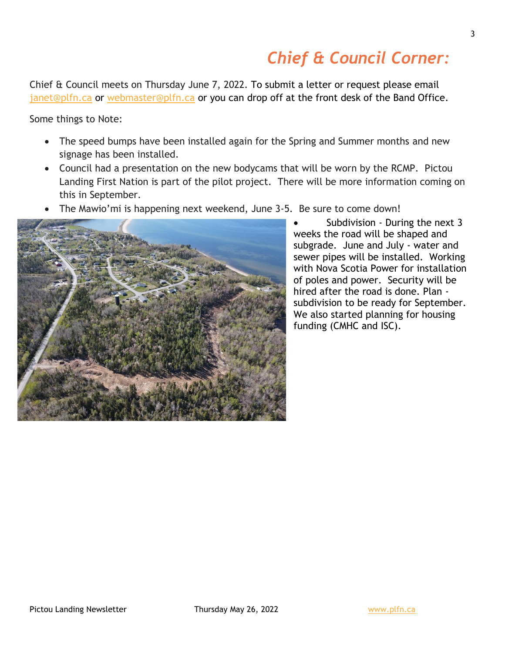## *Chief & Council Corner:*

Chief & Council meets on Thursday June 7, 2022. To submit a letter or request please email [janet@plfn.ca](mailto:janet@plfn.ca) or [webmaster@plfn.ca](mailto:webmaster@plfn.ca) or you can drop off at the front desk of the Band Office.

Some things to Note:

- The speed bumps have been installed again for the Spring and Summer months and new signage has been installed.
- Council had a presentation on the new bodycams that will be worn by the RCMP. Pictou Landing First Nation is part of the pilot project. There will be more information coming on this in September.
- The Mawio'mi is happening next weekend, June 3-5. Be sure to come down!



• Subdivision - During the next 3 weeks the road will be shaped and subgrade. June and July - water and sewer pipes will be installed. Working with Nova Scotia Power for installation of poles and power. Security will be hired after the road is done. Plan subdivision to be ready for September. We also started planning for housing funding (CMHC and ISC).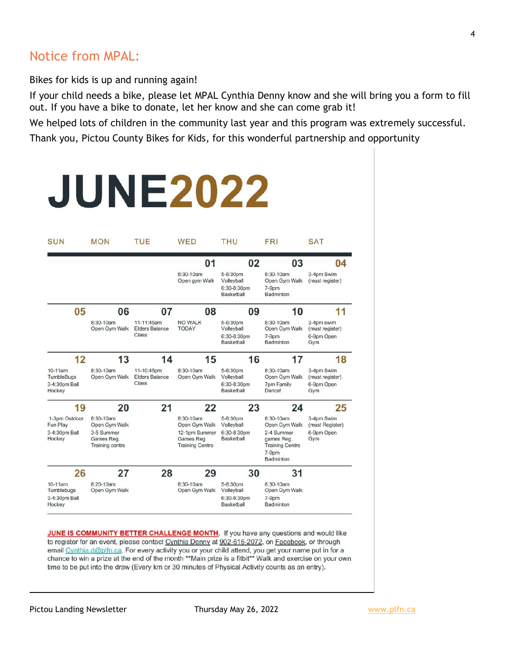#### Notice from MPAL:

Bikes for kids is up and running again!

If your child needs a bike, please let MPAL Cynthia Denny know and she will bring you a form to fill out. If you have a bike to donate, let her know and she can come grab it!

We helped lots of children in the community last year and this program was extremely successful.

Thank you, Pictou County Bikes for Kids, for this wonderful partnership and opportunity

|                                                     |                                                    |                                              | <b>JUNE2022</b>                                             |                                                     |                                                                          |                                                    |
|-----------------------------------------------------|----------------------------------------------------|----------------------------------------------|-------------------------------------------------------------|-----------------------------------------------------|--------------------------------------------------------------------------|----------------------------------------------------|
| SUN                                                 | <b>MON</b>                                         | <b>TUE</b>                                   | <b>WED</b>                                                  | <b>THU</b>                                          | <b>FRI</b>                                                               | <b>SAT</b>                                         |
|                                                     |                                                    |                                              | 0 <sub>1</sub>                                              | 02                                                  | 03                                                                       | 04                                                 |
|                                                     |                                                    |                                              | 8:30-10am<br>Open gym Walk                                  | 5-6:30pm<br>Volleyball<br>6:30-8:30pm<br>Basketball | 8:30-10am<br>Open Gym Walk<br>$7-9dm$<br>Badminton                       | 3-4pm Swim<br>(must register)                      |
| 05                                                  | 06                                                 | 07                                           | 08                                                          | 09                                                  | 10                                                                       | 11                                                 |
|                                                     | 8:30-10am<br>Open Gym Walk                         | 11-11:45am<br><b>Elders Balance</b><br>Class | <b>NO WALK</b><br><b>TODAY</b>                              | 5-6:30pm<br>Volleyball<br>6:30-8:30pm<br>Basketball | $8:30 - 10am$<br>Open Gym Walk<br>$7-9$ pm<br>Badminton                  | 3-4pm swim<br>(must register)<br>6-9pm Open<br>Gym |
| 12                                                  | 13                                                 | 14                                           | 15                                                          | 16                                                  | 17                                                                       | 18                                                 |
| $10-11$ am<br>TumbleBugs<br>3-4:30pm Ball<br>Hockey | 8:30-10am<br>Open Gym Walk                         | 11-10:45pm<br><b>Elders Balance</b><br>Class | 8:30-10am<br>Open Gym Walk                                  | 5-6:30pm<br>Volleyball<br>6:30-8:30pm<br>Basketball | 8:30-10am<br>Open Gym Walk<br><b>7pm Family</b><br><b>Dance!</b>         | 3-4pm Swim<br>(must register)<br>6-9pm Open<br>Gym |
| 19                                                  | 20                                                 | 21                                           | 22                                                          | 23                                                  | 24                                                                       | 25                                                 |
| 1-3pm Outdoor<br>Fun Play                           | 8:30-10am<br>Open Gym Walk                         |                                              | 8:30-10am<br>Open Gym Walk                                  | 5-6:30pm<br>Volleyball                              | $8:30-10am$<br>Open Gym Walk                                             | 3-4pm Swim<br>(must Register)                      |
| 3-4:30pm Ball<br>Hockey                             | 3-5 Summer<br>Games Reg.<br><b>Training centre</b> |                                              | 12-1pm Summer<br><b>Games Reg</b><br><b>Training Centre</b> | 6:30-8:30pm<br>Basketball                           | 2-4 Summer<br>games Reg.<br><b>Training Centre</b><br>7-9pm<br>Badminton | 6-9pm Open<br>Gym                                  |
| 26                                                  | 27                                                 | 28                                           | 29                                                          | 30                                                  | 31                                                                       |                                                    |
| $10-11$ am<br>Tumblebugs<br>3-4:30pm Ball<br>Hockey | 8:20-10am<br>Open Gym Walk                         |                                              | 8:30-10am<br>Open Gym Walk                                  | 5-6:30pm<br>Volleyball<br>6:30-8:30pm<br>Basketball | 8:30-10am<br>Open Gym Walk<br>$7-9pm$<br>Badminton                       |                                                    |

JUNE IS COMMUNITY BETTER CHALLENGE MONTH. If you have any questions and would like to register for an event, please contact Cynthia Denny at 902-616-2072, on Facebook, or through email Cynthia.d@plfn.ca. For every activity you or your child attend, you get your name put in for a chance to win a prize at the end of the month \*\*Main prize is a fitbit\*\* Walk and exercise on your own time to be put into the draw (Every km or 30 minutes of Physical Activity counts as an entry).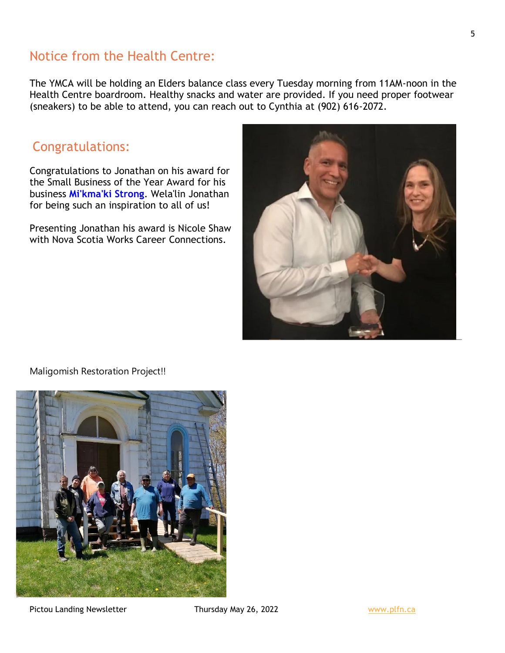#### Notice from the Health Centre:

The YMCA will be holding an Elders balance class every Tuesday morning from 11AM-noon in the Health Centre boardroom. Healthy snacks and water are provided. If you need proper footwear (sneakers) to be able to attend, you can reach out to Cynthia at (902) 616-2072.

#### Congratulations:

Congratulations to Jonathan on his award for the Small Business of the Year Award for his business **[Mi'kma'ki](https://www.facebook.com/Mikmaki-Strong-103005288217249/?__cft__%5b0%5d=AZXDIDyR0dwWsM4Zd2un5WbvzWwjS1zNzjR8LMEFINStFLFud23jY9wH2vfnORDet14vm-Os7pkRie48KPmxkjQ5-9-weRpwr_GJzOgKx4Eh-FBJOPGjoZ4_nTMjlWpMhC5Z0CqeXzogPthxEHoZee0R21UhNWbHcIRUqA3Cpc91UsaXwj6XGtVsEny2DyzJp4p0jInZJ5U81QJ_npDwjO7nzNpwsBN6eo0dHYixVpeTBg&__tn__=kK*F) Strong**. Wela'lin Jonathan for being such an inspiration to all of us!

Presenting Jonathan his award is Nicole Shaw with Nova Scotia Works Career Connections.



#### Maligomish Restoration Project!!